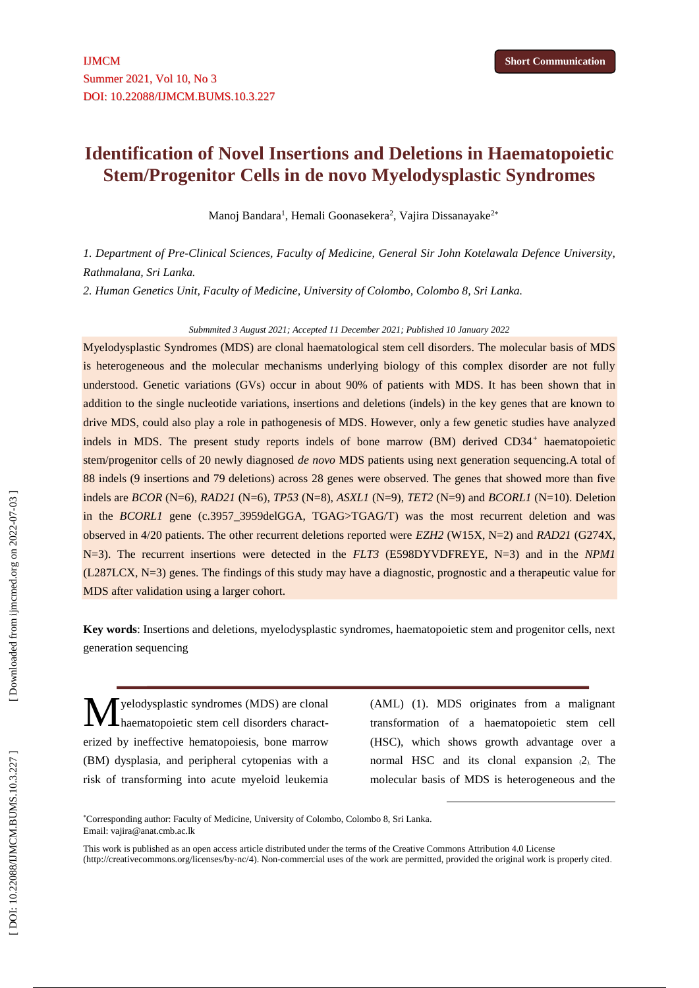# **Identification of Novel Insertions and Deletions in Haematopoietic Stem/Progenitor Cells in de novo Myelodysplastic Syndromes**

Manoj Bandara<sup>1</sup>, Hemali Goonasekera<sup>2</sup>, Vajira Dissanayake<sup>2\*</sup>

*1. Department of Pre -Clinical Sciences, Faculty of Medicine, General Sir John Kotelawala Defence University, Rathmalana, Sri Lanka.*

*2. Human Genetic s Unit, Faculty of Medicine, University of Colombo, Colombo 8, Sri Lanka.*

#### *Submmited 3 August 2021; Accepted 11 December 2021; Published 10 January 2022*

Myelodysplastic Syndromes (MDS) are clonal haematological stem cell disorders. The molecular basis of MDS is heterogeneous and the molecular mechanisms underlying biology of this complex disorder are not fully understood. Genetic variations (GVs) occur in about 90% of patients with MDS. It has been shown that in addition to the single nucleotide variations, insertions and deletions (indels) in the key genes that are known to drive MDS, could also play a role in pathogenesis of MDS. However, only a few genetic studies have analyzed indels in MDS. The present study reports indels of bone marrow (BM) derived CD34<sup>+</sup> haematopoietic stem/progenitor cells of 20 newly diagnosed *de novo* MDS patients using next generation sequencing.A total of 88 indels (9 insertions and 79 deletions) across 28 genes were observed. The genes that showed more than five indels are *BCOR* (N=6), *RAD21* (N=6), *TP53* (N=8), *ASXL1* (N=9), *TET2* (N=9) and *BCORL1* (N=10). Deletion in the *BCORL1* gene (c.3957\_3959delGGA, TGAG>TGAG/T) was the most recurrent deletion and was observed in 4/20 patients. The other recurrent deletions reported were *EZH2* (W15X, N=2) and *RAD21* (G274X, N=3). The recurrent insertions were detected in the *FLT3* (E598DYVDFREYE, N=3) and in the *NPM1* (L287LCX, N=3) genes. The findings of this study may have a diagnostic, prognostic and a therapeutic value for MDS after validation using a larger cohort.

**Key words** : Insertions and deletions, myelodysplastic syndromes, haematopoietic stem and progenitor cells, next generation sequencing

yelodysplastic syndromes (MDS) are clonal haematopoietic stem cell disorders charact erized by ineffective hematopoiesis, bone marrow (BM) dysplasia, and peripheral cytopenias with a risk of transforming into acute myeloid leukemia M

(AML) (1). MDS originates from a malignant transformation of a haematopoietic stem cell (HSC), which shows growth advantage over a normal HSC and its clonal expansion (2). The molecular basis of MDS is heterogeneous and the

1

This work is published as an open access article distributed under the terms of the Creative Commons Attribution 4.0 License<br>[\(http://creativecommons.org/licenses/by-nc/4\)](http://creativecommons.org/licenses/by-nc/4). Non-commercial uses of the work are permitted, pro

Corresponding author: Faculty of Medicine, University of Colombo, Colombo 8, Sri Lanka . Email: vajira@anat.cmb.ac.lk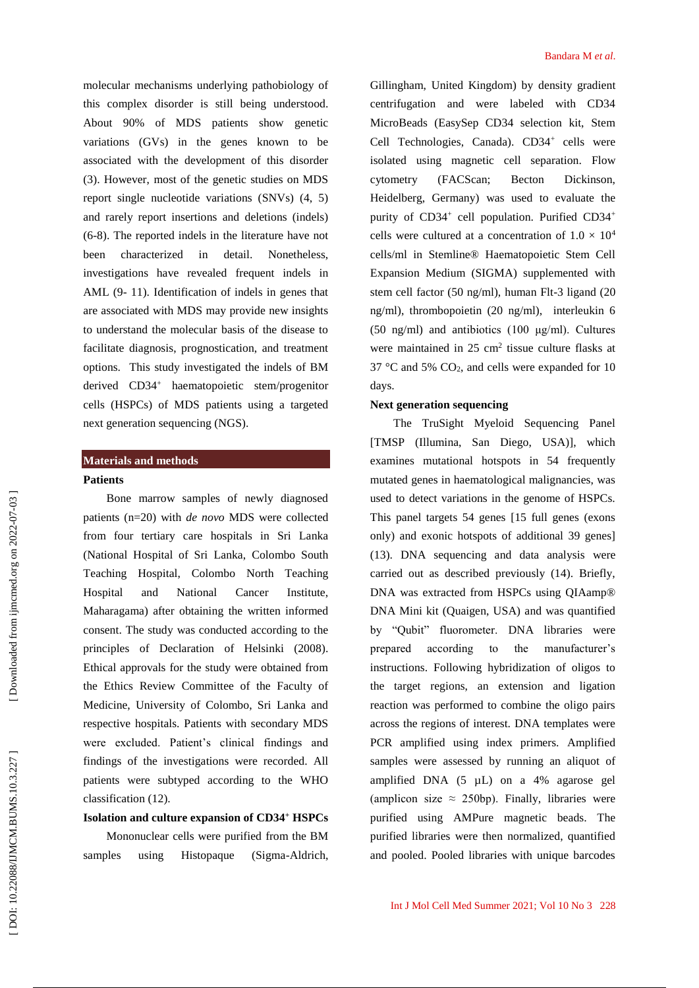molecular mechanisms underlying pathobiology of this complex disorder is still being understood. About 90% of MDS patients show genetic variations (GVs) in the genes known to be associated with the development of this disorder (3). However, most of the genetic studies on MDS report single nucleotide variations (SNVs) (4, 5) and rarely report insertions and deletions (indels) (6 -8). The reported indels in the literature have not been characterized in detail. Nonetheless, investigations have revealed frequent indels in AML (9 - 11). Identification of indels in genes that are associated with MDS may provide new insights to understand the molecular basis of the disease to facilitate diagnosis, prognostication, and treatment options. This study investigated the indels of BM derived CD34 <sup>+</sup> haematopoietic stem/progenitor cells (HSPCs) of MDS patients using a targeted next generation sequencing (NGS).

#### **Materials and methods**

## **Patients**

Bone marrow samples of newly diagnosed patients (n=20) with *de novo* MDS were collected from four tertiary care hospitals in Sri Lanka (National Hospital of Sri Lanka, Colombo South Teaching Hospital, Colombo North Teaching Hospital and National Cancer Institute, Maharagama) after obtaining the written informed consent. The study was conducted according to the principles of Declaration of Helsinki (2008). Ethical approvals for the study were obtained from the Ethics Review Committee of the Faculty of Medicine, University of Colombo, Sri Lanka and respective hospitals. Patients with secondary MDS were excluded. Patient's clinical findings and findings of the investigations were recorded. All patients were subtyped according to the WHO classification (12).

# **Isolation and culture expansion of CD34 <sup>+</sup> HSPCs**

Mononuclear cells were purified from the BM samples using Histopaque (Sigma-Aldrich, Gillingham, United Kingdom) by density gradient centrifugation and were labeled with CD34 MicroBeads (EasySep CD34 selection kit, Stem Cell Technologies, Canada). CD34<sup>+</sup> cells were isolated using magnetic cell separation. Flow cytometry (FACScan; Becton Dickinson, Heidelberg, Germany) was used to evaluate the purity of CD34<sup>+</sup> cell population. Purified CD34<sup>+</sup> cells were cultured at a concentration of  $1.0 \times 10^4$ cells/ml in Stemline® Haematopoietic Stem Cell Expansion Medium (SIGMA) supplemented with stem cell factor (50 ng/ml), human Flt -3 ligand (20 ng/ml), thrombopoietin (20 ng/ml), interleukin 6 (50 ng/ml) and antibiotics (100 μg/ml). Cultures were maintained in  $25 \text{ cm}^2$  tissue culture flasks at 37  $\degree$ C and 5% CO<sub>2</sub>, and cells were expanded for 10 days.

#### **Next generation sequencing**

The TruSight Myeloid Sequencing Panel [TMSP (Illumina, San Diego, USA)], which examines mutational hotspots in 54 frequently mutated genes in haematological malignancies, was used to detect variations in the genome of HSPCs. This panel targets 54 genes [15 full genes (exons only) and exonic hotspots of additional 39 genes] (13). DNA sequencing and data analysis were carried out as described previously (14). Briefly, DNA was extracted from HSPCs using QIAamp® DNA Mini kit (Quaigen, USA) and was quantified by "Qubit" fluorometer. DNA libraries were prepared according to the manufacturer's instructions. Following hybridization of oligos to the target regions, an extension and ligation reaction was performed to combine the oligo pairs across the regions of interest. DNA templates were PCR amplified using index primers. Amplified samples were assessed by running an aliquot of amplified DNA (5 µ L) on a 4% agarose gel (amplicon size  $\approx$  250bp). Finally, libraries were purified using AMPure magnetic beads. The purified libraries were then normalized, quantified and pooled. Pooled libraries with unique barcodes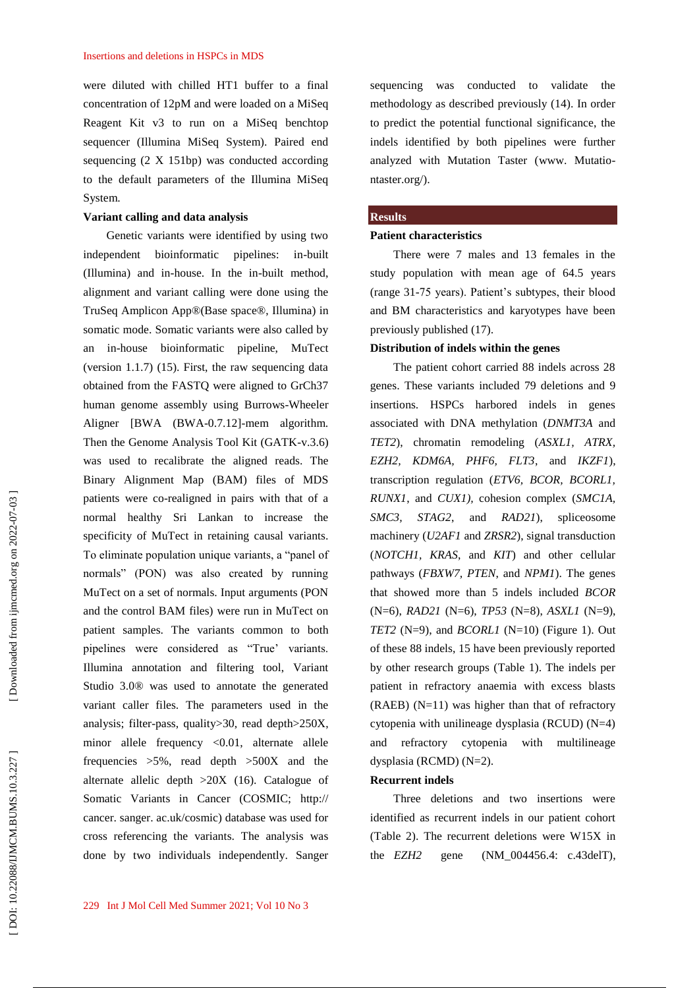were diluted with chilled HT1 buffer to a final concentration of 12pM and were loaded on a MiSeq Reagent Kit v3 to run on a MiSeq benchtop sequencer (Illumina MiSeq System). Paired end sequencing (2 X 151bp) was conducted according to the default parameters of the Illumina MiSeq System.

#### **Variant calling and data analysis**

Genetic variants were identified by using two independent bioinformatic pipelines: in -built (Illumina) and in -house. In the in -built method, alignment and variant calling were done using the TruSeq Amplicon App®(Base space®, Illumina) in somatic mode. Somatic variants were also called by an in -house bioinformatic pipeline, MuTect (version 1.1.7) (15). First, the raw sequencing data obtained from the FASTQ were aligned to GrCh37 human genome assembly using Burrows -Wheeler Aligner [BWA (BWA -0.7.12] -mem algorithm. Then the Genome Analysis Tool Kit (GATK -v.3.6) was used to recalibrate the aligned reads. The Binary Alignment Map (BAM) files of MDS patients were co -realigned in pairs with that of a normal healthy Sri Lankan to increase the specificity of MuTect in retaining causal variants. To eliminate population unique variants, a "panel of normals" (PON) was also created by running MuTect on a set of normals. Input arguments (PON and the control BAM files) were run in MuTect on patient samples. The variants common to both pipelines were considered as "True' variants. Illumina annotation and filtering tool, Variant Studio 3.0® was used to annotate the generated variant caller files. The parameters used in the analysis; filter -pass, quality>30, read depth>250X, minor allele frequency <0.01, alternate allele frequencies  $>5\%$ , read depth  $>500X$  and the alternate allelic depth >20X (16). Catalogue of Somatic Variants in Cancer (COSMIC; http:// cancer. sanger. ac.uk/cosmic) database was used for cross referencing the variants. The analysis was done by two individuals independently. Sanger

sequencing was conducted to validate the methodology as described previously (14). In order to predict the potential functional significance, the indels identified by both pipelines were further analyzed with Mutation Taster (www. [Mutatio](http://www.mutationtaster.org/) [ntaster.org/\)](http://www.mutationtaster.org/).

#### **Results**

#### **Patient characteristics**

There were 7 males and 13 females in the study population with mean age of 64.5 years (range 31 -75 years). Patient's subtypes, their blood and BM characteristics and karyotypes have been previously published (17).

## **Distribution of indels within the genes**

The patient cohort carried 88 indels across 28 genes. These variants included 79 deletions and 9 insertions. HSPCs harbored indels in genes associated with DNA methylation (*DNMT3A* and *TET2*), chromatin remodeling (*ASXL1, ATRX, EZH2, KDM6A, PHF6, FLT3*, and *IKZF1*), transcription regulation (*ETV6, BCOR, BCORL1, RUNX1* , and *CUX1),* cohesion complex (*SMC1A, SMC3, STAG2* , and *RAD21*), spliceosome machinery (*U2AF1* and *ZRSR2*), signal transduction (*NOTCH1, KRAS*, and *KIT*) and other cellular pathways (*FBXW7, PTEN* , and *NPM1*). The genes that showed more than 5 indels included *BCOR*  (N=6), *RAD21* (N=6), *TP53* (N=8), *ASXL1* (N=9), *TET2* (N=9), and *BCORL1* (N=10) ( Figure 1). Out of these 88 indels, 15 have been previously reported by other research groups ( Table 1). The indels per patient in refractory anaemia with excess blasts  $(RAEB)$   $(N=11)$  was higher than that of refractory cytopenia with unilineage dysplasia (RCUD) (N=4) and refractory cytopenia with multilineage dysplasia (RCMD) (N=2).

## **Recurrent indels**

Three deletions and two insertions were identified as recurrent indels in our patient cohort (Table 2). The recurrent deletions were W15X in the *EZH2* gene (NM\_004456.4: c.43delT),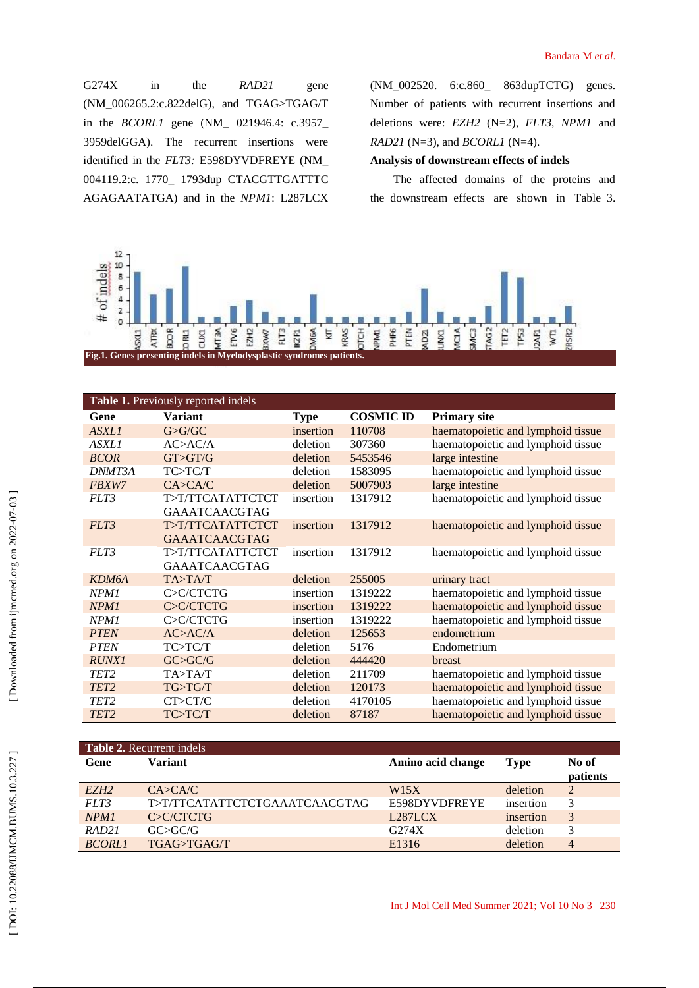G274X in the *RAD21* gene (NM\_006265.2:c.822delG) , and TGAG>TGAG/T in the *BCORL1* gene (NM\_ 021946.4: c.3957\_ 3959delGGA). The recurrent insertions were identified in the *FLT3:* E598DYVDFREYE (NM\_ 004119.2:c. 1770\_ 1793dup CTACGTTGATTTC AGAGAATATGA) and in the *NPM1*: L287LCX

(NM\_002520. 6:c.860\_ 863dupTCTG) genes. Number of patients with recurrent insertions and deletions were: *EZH2* (N=2), *FLT3, NPM1* and *RAD21* (N=3), and *BCORL1* (N=4).

## **Analysis of downstream effects of indels**

The affected domains of the proteins and the downstream effects are shown in Table 3 .



| Table 1. Previously reported indels |                      |             |                  |                                    |  |  |  |
|-------------------------------------|----------------------|-------------|------------------|------------------------------------|--|--|--|
| Gene                                | <b>Variant</b>       | <b>Type</b> | <b>COSMIC ID</b> | <b>Primary site</b>                |  |  |  |
| ASXL1                               | G>G/GC               | insertion   | 110708           | haematopoietic and lymphoid tissue |  |  |  |
| <b>ASXL1</b>                        | AC>AC/A              | deletion    | 307360           | haematopoietic and lymphoid tissue |  |  |  |
| <b>BCOR</b>                         | GT > GT/G            | deletion    | 5453546          | large intestine                    |  |  |  |
| DNMT3A                              | TC>TC/T              | deletion    | 1583095          | haematopoietic and lymphoid tissue |  |  |  |
| FBXW7                               | CA > CA/C            | deletion    | 5007903          | large intestine                    |  |  |  |
| FLT3                                | T>T/TTCATATTCTCT     | insertion   | 1317912          | haematopoietic and lymphoid tissue |  |  |  |
|                                     | <b>GAAATCAACGTAG</b> |             |                  |                                    |  |  |  |
| FLT3                                | T>T/TTCATATTCTCT     | insertion   | 1317912          | haematopoietic and lymphoid tissue |  |  |  |
|                                     | <b>GAAATCAACGTAG</b> |             |                  |                                    |  |  |  |
| FLT3                                | T>T/TTCATATTCTCT     | insertion   | 1317912          | haematopoietic and lymphoid tissue |  |  |  |
|                                     | <b>GAAATCAACGTAG</b> |             |                  |                                    |  |  |  |
| KDM6A                               | TA > TA/T            | deletion    | 255005           | urinary tract                      |  |  |  |
| NPM1                                | C>C/CTCTG            | insertion   | 1319222          | haematopoietic and lymphoid tissue |  |  |  |
| NPM1                                | C>C/CTCTG            | insertion   | 1319222          | haematopoietic and lymphoid tissue |  |  |  |
| NPM <sub>1</sub>                    | C>C/CTCTG            | insertion   | 1319222          | haematopoietic and lymphoid tissue |  |  |  |
| <b>PTEN</b>                         | AC>AC/A              | deletion    | 125653           | endometrium                        |  |  |  |
| <b>PTEN</b>                         | TC>TC/T              | deletion    | 5176             | Endometrium                        |  |  |  |
| <b>RUNX1</b>                        | GCSC/G               | deletion    | 444420           | <b>breast</b>                      |  |  |  |
| TET <sub>2</sub>                    | TA>TA/T              | deletion    | 211709           | haematopoietic and lymphoid tissue |  |  |  |
| TET <sub>2</sub>                    | TG>TG/T              | deletion    | 120173           | haematopoietic and lymphoid tissue |  |  |  |
| TET <sub>2</sub>                    | CT>CT/C              | deletion    | 4170105          | haematopoietic and lymphoid tissue |  |  |  |
| TET <sub>2</sub>                    | TC>TC/T              | deletion    | 87187            | haematopoietic and lymphoid tissue |  |  |  |

| <b>Table 2.</b> Recurrent indels |                               |                   |             |          |  |  |
|----------------------------------|-------------------------------|-------------------|-------------|----------|--|--|
| Gene                             | Variant                       | Amino acid change | <b>Type</b> | No of    |  |  |
|                                  |                               |                   |             | patients |  |  |
| EZH <sub>2</sub>                 | $C$ A>CA/C                    | W15X              | deletion    | 2        |  |  |
| FLT3                             | T>T/TTCATATTCTCTGAAATCAACGTAG | E598DYVDFREYE     | insertion   | 3        |  |  |
| NPM <sub>1</sub>                 | C>C/CTCTG                     | L287LCX           | insertion   | 3        |  |  |
| RAD21                            | GCSGC/G                       | G274X             | deletion    | 3        |  |  |
| <b>BCORL1</b>                    | TGAG>TGAG/T                   | E <sub>1316</sub> | deletion    | 4        |  |  |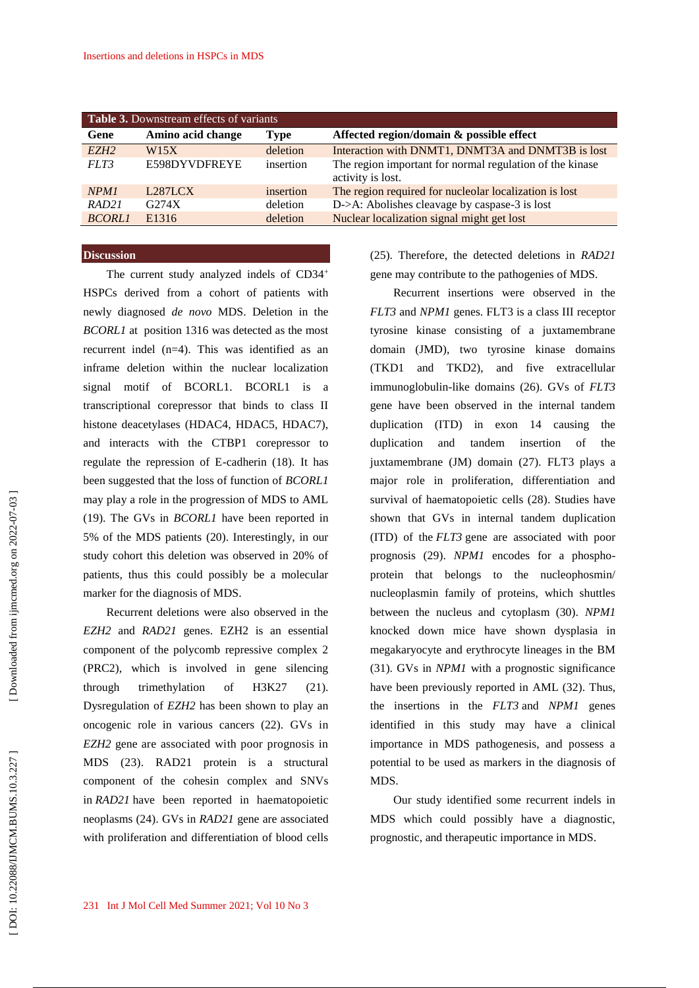| <b>Table 3.</b> Downstream effects of variants |                      |             |                                                                               |  |  |
|------------------------------------------------|----------------------|-------------|-------------------------------------------------------------------------------|--|--|
| Gene                                           | Amino acid change    | <b>Type</b> | Affected region/domain & possible effect                                      |  |  |
| EZH <sub>2</sub>                               | W <sub>15</sub> X    | deletion    | Interaction with DNMT1, DNMT3A and DNMT3B is lost                             |  |  |
| FLT3                                           | E598DYVDFREYE        | insertion   | The region important for normal regulation of the kinase<br>activity is lost. |  |  |
| NPM <sub>1</sub>                               | L <sub>287</sub> LCX | insertion   | The region required for nucleolar localization is lost                        |  |  |
| RAD21                                          | G274X                | deletion    | $D\rightarrow A$ : Abolishes cleavage by caspase-3 is lost                    |  |  |
| <b>BCORL1</b>                                  | E <sub>1316</sub>    | deletion    | Nuclear localization signal might get lost                                    |  |  |

#### **Discussion**

The current study analyzed indels of CD34<sup>+</sup> HSPCs derived from a cohort of patients with newly diagnosed *de novo* MDS. Deletion in the *BCORL1* at position 1316 was detected as the most recurrent indel (n=4). This was identified as an inframe deletion within the nuclear localization signal motif of BCORL1. BCORL1 is a transcriptional corepressor that binds to class II histone deacetylases (HDAC4, HDAC5, HDAC7), and interacts with the CTBP1 corepressor to regulate the repression of E -cadherin (18). It has been suggested that the loss of function of *BCORL1* may play a role in the progression of MDS to AML (19). The GVs in *BCORL1* have been reported in 5% of the MDS patients (20). Interestingly, in our study cohort this deletion was observed in 20% of patients, thus this could possibly be a molecular marker for the diagnosis of MDS.

Recurrent deletions were also observed in the *EZH2* and *RAD21* genes. EZH2 is an essential component of the polycomb repressive complex 2 (PRC2), which is involved in gene silencing through trimethylation of H3K27 (21). Dysregulation of *EZH2* has been shown to play an oncogenic role in various cancers (22). GVs in *EZH2* gene are associated with poor prognosis in MDS (23). RAD21 protein is a structural component of the cohesin complex and SNVs in *RAD21* have been reported in haematopoietic neoplasms (24). GVs in *RAD21* gene are associated with proliferation and differentiation of blood cells (25). Therefore, the detected deletions in *RAD21* gene may contribute to the pathogenies of MDS.

Recurrent insertions were observed in the *FLT3* and *NPM1* genes. FLT3 is a class III receptor tyrosine kinase consisting of a juxtamembrane domain (JMD), two tyrosine kinase domains (TKD1 and TKD2), and five extracellular immunoglobulin -like domains (26). GVs of *FLT3* gene have been observed in the internal tandem duplication (ITD) in exon 14 causing the duplication and tandem insertion of the juxtamembrane (JM) domain (27). FLT3 plays a major role in proliferation, differentiation and survival of haematopoietic cells (28). Studies have shown that GVs in internal tandem duplication (ITD) of the *FLT3* gene are associated with poor prognosis (29). *NPM1* encodes for a phospho protein that belongs to the nucleophosmin/ nucleoplasmin family of proteins, which shuttles between the nucleus and cytoplasm (30). *NPM1*  knocked down mice have shown dysplasia in megakaryocyte and erythrocyte lineages in the BM (31). GVs in *NPM1* with a prognostic significance have been previously reported in AML (32). Thus, the insertions in the *FLT3* and *NPM1* genes identified in this study may have a clinical importance in MDS pathogenesis, and possess a potential to be used as markers in the diagnosis of MDS.

Our study identified some recurrent indels in MDS which could possibly have a diagnostic, prognostic, and therapeutic importance in MDS.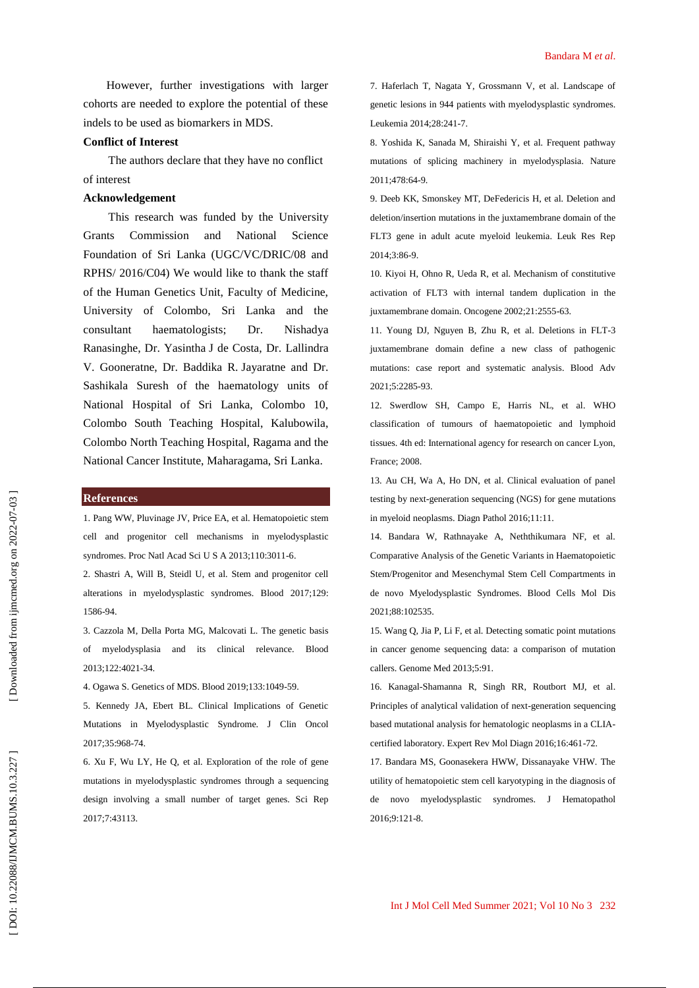However, further investigations with larger cohorts are needed to explore the potential of these indels to be used as biomarkers in MDS.

#### **Conflict of Interest**

The authors declare that they have no conflict o f interest

## **Acknowledgement**

This research was funded by the University Grants Commission and National Science Foundation of Sri Lanka (UGC/VC/DRIC/08 and RPHS/ 2016/C04) We would like to thank the staff of the Human Genetics Unit, Faculty of Medicine, University of Colombo, Sri Lanka and the consultant haematologists; Dr . Nishadya Ranasinghe, Dr. Yasintha J de Costa, Dr. Lallindra V. Gooneratne, Dr. Baddika R. Jayaratne and Dr. Sashikala Suresh of the haematology units of National Hospital of Sri Lanka, Colombo 10, Colombo South Teaching Hospital, Kalubowila, Colombo North Teaching Hospital, Ragama and the National Cancer Institute, Maharagama, Sri Lanka.

#### **References**

1. Pang WW, Pluvinage JV, Price EA, et al. Hematopoietic stem cell and progenitor cell mechanisms in myelodysplastic syndromes. Proc Natl Acad Sci U S A 2013;110:3011 -6.

2. Shastri A, Will B, Steidl U, et al. Stem and progenitor cell alterations in myelodysplastic syndromes. Blood 2017;129: 1586 -94.

3. Cazzola M, Della Porta MG, Malcovati L. The genetic basis of myelodysplasia and its clinical relevance. Blood 2013;122:4021 -34.

4. Ogawa S. Genetics of MDS. Blood 2019;133:1049 -59.

5. Kennedy JA, Ebert BL. Clinical Implications of Genetic Mutations in Myelodysplastic Syndrome. J Clin Oncol 2017;35:968 -74.

6. Xu F, Wu LY, He Q, et al. Exploration of the role of gene mutations in myelodysplastic syndromes through a sequencing design involving a small number of target genes. Sci Rep 2017;7:43113.

7. Haferlach T, Nagata Y, Grossmann V, et al. Landscape of genetic lesions in 944 patients with myelodysplastic syndromes. Leukemia 2014;28:241 -7.

8. Yoshida K, Sanada M, Shiraishi Y, et al. Frequent pathway mutations of splicing machinery in myelodysplasia. Nature 2011;478:64 -9.

9. Deeb KK, Smonskey MT, DeFedericis H, et al. Deletion and deletion/insertion mutations in the juxtamembrane domain of the FLT3 gene in adult acute myeloid leukemia. Leuk Res Rep 2014;3:86 -9.

10. Kiyoi H, Ohno R, Ueda R, et al. Mechanism of constitutive activation of FLT3 with internal tandem duplication in the juxtamembrane domain. Oncogene 2002;21:2555 -63.

11. Young DJ, Nguyen B, Zhu R, et al. Deletions in FLT -3 juxtamembrane domain define a new class of pathogenic mutations: case report and systematic analysis. Blood Adv 2021;5:2285 -93.

12. Swerdlow SH, Campo E, Harris NL, et al. WHO classification of tumours of haematopoietic and lymphoid tissues. 4th ed: International agency for research on cancer Lyon, France; 2008.

13. Au CH, Wa A, Ho DN, et al. Clinical evaluation of panel testing by next -generation sequencing (NGS) for gene mutations in myeloid neoplasms. Diagn Pathol 2016;11:11.

14. Bandara W, Rathnayake A, Neththikumara NF, et al. Comparative Analysis of the Genetic Variants in Haematopoietic Stem/Progenitor and Mesenchymal Stem Cell Compartments in de novo Myelodysplastic Syndromes. Blood Cells Mol Dis 2021;88:102535.

15. Wang Q, Jia P, Li F, et al. Detecting somatic point mutations in cancer genome sequencing data: a comparison of mutation callers. Genome Med 2013;5:91.

16. Kanagal -Shamanna R, Singh RR, Routbort MJ, et al. Principles of analytical validation of next -generation sequencing based mutational analysis for hematologic neoplasms in a CLIA certified laboratory. Expert Rev Mol Diagn 2016;16:461 -72.

17. Bandara MS, Goonasekera HWW, Dissanayake VHW. The utility of hematopoietic stem cell karyotyping in the diagnosis of de novo myelodysplastic syndromes. J Hematopathol 2016;9:121 -8.